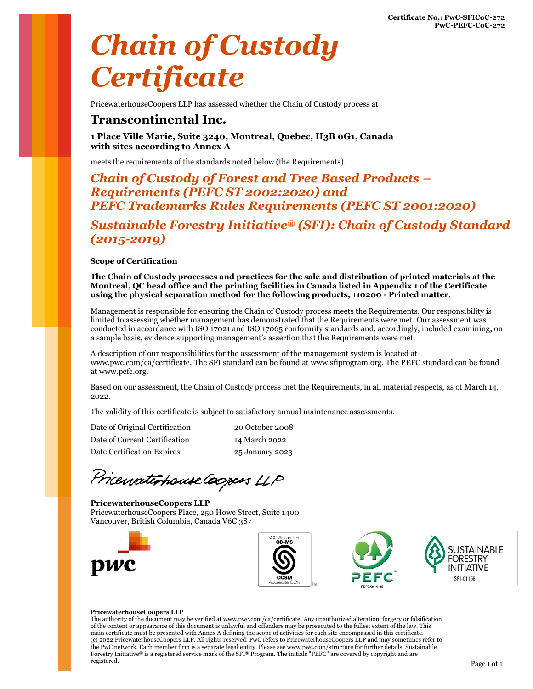# *Chain of Custody Certificate*

PricewaterhouseCoopers LLP has assessed whether the Chain of Custody process at

## **Transcontinental Inc.**

**1 Place Ville Marie, Suite 3240, Montreal, Quebec, H3B 0G1, Canada with sites according to Annex A**

meets the requirements of the standards noted below (the Requirements).

### *Chain of Custody of Forest and Tree Based Products – Requirements (PEFC ST 2002:2020) and PEFC Trademarks Rules Requirements (PEFC ST 2001:2020)*

*Sustainable Forestry Initiative® (SFI): Chain of Custody Standard (2015-2019)*

#### **Scope of Certification**

**The Chain of Custody processes and practices for the sale and distribution of printed materials at the Montreal, QC head office and the printing facilities in Canada listed in Appendix 1 of the Certificate using the physical separation method for the following products, 110200 - Printed matter.**

Management is responsible for ensuring the Chain of Custody process meets the Requirements. Our responsibility is limited to assessing whether management has demonstrated that the Requirements were met. Our assessment was conducted in accordance with ISO 17021 and ISO 17065 conformity standards and, accordingly, included examining, on a sample basis, evidence supporting management's assertion that the Requirements were met.

A description of our responsibilities for the assessment of the management system is located at [www.pwc.com/ca/certificate.](file:///C:/Users/lcastagna002/Downloads/www.pwc.com/ca/certificate) The SFI standard can be found at [www.sfiprogram.org.](file:///C:/Users/lcastagna002/Downloads/www.sfiprogram.org) The PEFC standard can be found at [www.pefc.org.](file:///C:/Users/lcastagna002/Downloads/www.pefc.org)

Based on our assessment, the Chain of Custody process met the Requirements, in all material respects, as of March 14, 2022.

The validity of this certificate is subject to satisfactory annual maintenance assessments.

Date of Original Certification 20 October 2008 Date of Current Certification 14 March 2022 Date Certification Expires 25 January 2023

PricewaterhouseCoopers LLP

#### **PricewaterhouseCoopers LLP** PricewaterhouseCoopers Place, 250 Howe Street, Suite 1400 Vancouver, British Columbia, Canada V6C 3S7







#### **PricewaterhouseCoopers LLP**

The authority of the document may be verified a[t www.pwc.com/ca/certificate.](file:///C:/Users/lcastagna002/Downloads/www.pwc.com/ca/certificate) Any unauthorized alteration, forgery or falsification of the content or appearance of this document is unlawful and offenders may be prosecuted to the fullest extent of the law. This main certificate must be presented with Annex A defining the scope of activities for each site encompassed in this certificate. (c) 2022 PricewaterhouseCoopers LLP. All rights reserved. PwC refers to PricewaterhouseCoopers LLP and may sometimes refer to the PwC network. Each member firm is a separate legal entity. Please see www.pwc.com/structure for further details. Sustainable Forestry Initiative® is a registered service mark of the SFI® Program. The initials "PEFC" are covered by copyright and are registered. registered. Page 1 of 1